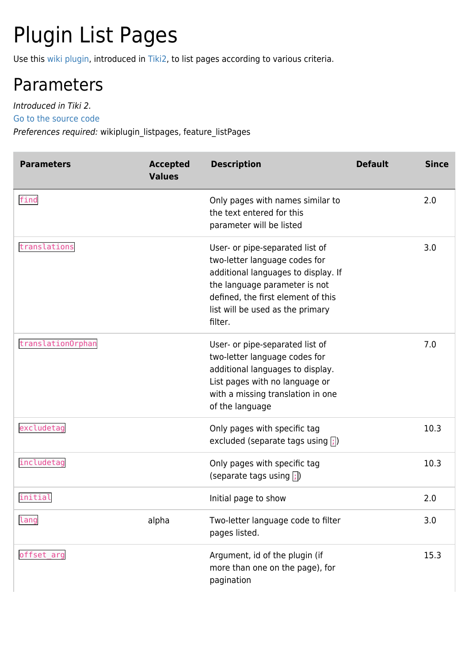# Plugin List Pages

Use this [wiki plugin](https://doc.tiki.org/wiki%20plugin), introduced in [Tiki2,](https://doc.tiki.org/Tiki2) to list pages according to various criteria.

#### Parameters

Introduced in Tiki 2.

[Go to the source code](https://gitlab.com/tikiwiki/tiki/-/blob/master/lib/wiki-plugins/wikiplugin_listpages.php)

Preferences required: wikiplugin\_listpages, feature\_listPages

| <b>Parameters</b> | <b>Accepted</b><br><b>Values</b> | <b>Description</b>                                                                                                                                                                                                            | <b>Default</b> | <b>Since</b> |
|-------------------|----------------------------------|-------------------------------------------------------------------------------------------------------------------------------------------------------------------------------------------------------------------------------|----------------|--------------|
| find              |                                  | Only pages with names similar to<br>the text entered for this<br>parameter will be listed                                                                                                                                     |                | 2.0          |
| translations      |                                  | User- or pipe-separated list of<br>two-letter language codes for<br>additional languages to display. If<br>the language parameter is not<br>defined, the first element of this<br>list will be used as the primary<br>filter. |                | 3.0          |
| translation0rphan |                                  | User- or pipe-separated list of<br>two-letter language codes for<br>additional languages to display.<br>List pages with no language or<br>with a missing translation in one<br>of the language                                |                | 7.0          |
| excludetag        |                                  | Only pages with specific tag<br>excluded (separate tags using $\vert \cdot \vert$ )                                                                                                                                           |                | 10.3         |
| includetag        |                                  | Only pages with specific tag<br>(separate tags using $\vert \cdot \vert$ )                                                                                                                                                    |                | 10.3         |
| initial           |                                  | Initial page to show                                                                                                                                                                                                          |                | 2.0          |
| lang              | alpha                            | Two-letter language code to filter<br>pages listed.                                                                                                                                                                           |                | 3.0          |
| offset_arg        |                                  | Argument, id of the plugin (if<br>more than one on the page), for<br>pagination                                                                                                                                               |                | 15.3         |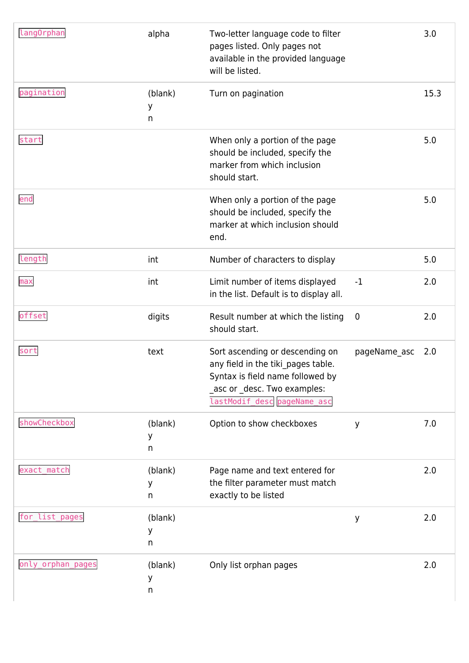| lang0rphan        | alpha             | Two-letter language code to filter<br>pages listed. Only pages not<br>available in the provided language<br>will be listed.                                             |              | 3.0  |
|-------------------|-------------------|-------------------------------------------------------------------------------------------------------------------------------------------------------------------------|--------------|------|
| pagination        | (blank)<br>у<br>n | Turn on pagination                                                                                                                                                      |              | 15.3 |
| start             |                   | When only a portion of the page<br>should be included, specify the<br>marker from which inclusion<br>should start.                                                      |              | 5.0  |
| end               |                   | When only a portion of the page<br>should be included, specify the<br>marker at which inclusion should<br>end.                                                          |              | 5.0  |
| length            | int               | Number of characters to display                                                                                                                                         |              | 5.0  |
| max               | int               | Limit number of items displayed<br>in the list. Default is to display all.                                                                                              | $-1$         | 2.0  |
| offset            | digits            | Result number at which the listing<br>should start.                                                                                                                     | $\mathbf 0$  | 2.0  |
| sort              | text              | Sort ascending or descending on<br>any field in the tiki_pages table.<br>Syntax is field name followed by<br>asc or _desc. Two examples:<br>lastModif desc pageName asc | pageName_asc | 2.0  |
| showCheckbox      | (blank)<br>у<br>n | Option to show checkboxes                                                                                                                                               | y            | 7.0  |
| exact_match       | (blank)<br>у<br>n | Page name and text entered for<br>the filter parameter must match<br>exactly to be listed                                                                               |              | 2.0  |
| for_list_pages    | (blank)<br>у<br>n |                                                                                                                                                                         | У            | 2.0  |
| only_orphan_pages | (blank)<br>У<br>n | Only list orphan pages                                                                                                                                                  |              | 2.0  |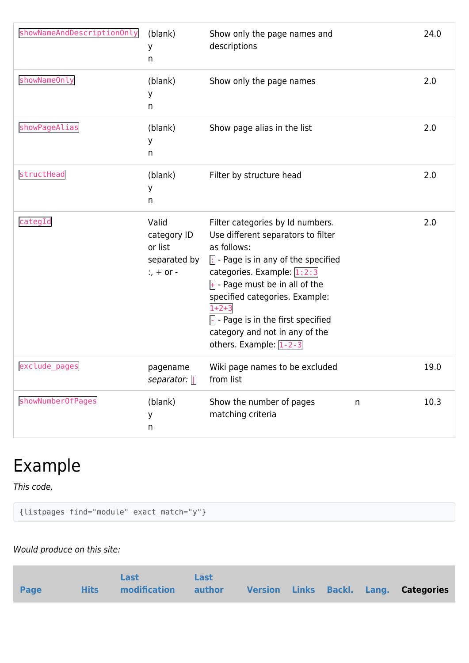| showNameAndDescriptionOnly | (blank)<br>У<br>n                                             | Show only the page names and<br>descriptions                                                                                                                                                                                                                                                                                                                                         |   | 24.0 |
|----------------------------|---------------------------------------------------------------|--------------------------------------------------------------------------------------------------------------------------------------------------------------------------------------------------------------------------------------------------------------------------------------------------------------------------------------------------------------------------------------|---|------|
| showNameOnly               | (blank)<br>у<br>n                                             | Show only the page names                                                                                                                                                                                                                                                                                                                                                             |   | 2.0  |
| showPageAlias              | (blank)<br>У<br>n                                             | Show page alias in the list                                                                                                                                                                                                                                                                                                                                                          |   | 2.0  |
| structHead                 | (blank)<br>У<br>n                                             | Filter by structure head                                                                                                                                                                                                                                                                                                                                                             |   | 2.0  |
| categId                    | Valid<br>category ID<br>or list<br>separated by<br>$: +$ or - | Filter categories by Id numbers.<br>Use different separators to filter<br>as follows:<br>$\left  \cdot \right $ - Page is in any of the specified<br>categories. Example: 1:2:3<br>$\mathbb{H}$ - Page must be in all of the<br>specified categories. Example:<br>$1+2+3$<br>$\lceil$ - Page is in the first specified<br>category and not in any of the<br>others. Example: $1-2-3$ |   | 2.0  |
| exclude_pages              | pagename<br>separator: $\Box$                                 | Wiki page names to be excluded<br>from list                                                                                                                                                                                                                                                                                                                                          |   | 19.0 |
| showNumberOfPages          | (blank)<br>у<br>n                                             | Show the number of pages<br>matching criteria                                                                                                                                                                                                                                                                                                                                        | n | 10.3 |

## Example

This code,

```
{listpages find="module" exact_match="y"}
```
#### Would produce on this site:

|             | <b>Last</b>              | Last |  |  |                                       |
|-------------|--------------------------|------|--|--|---------------------------------------|
| <b>Page</b> | Hits modification author |      |  |  | Version Links Backl. Lang. Categories |